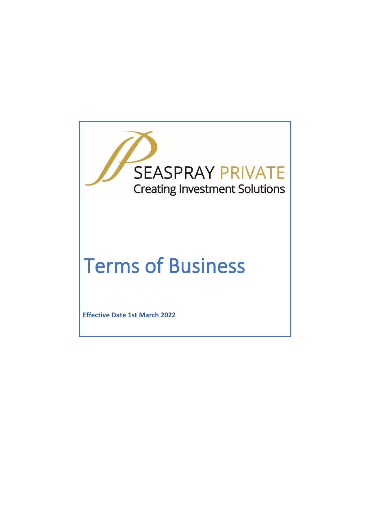

# Terms of Business

**Effective Date 1st March 2022**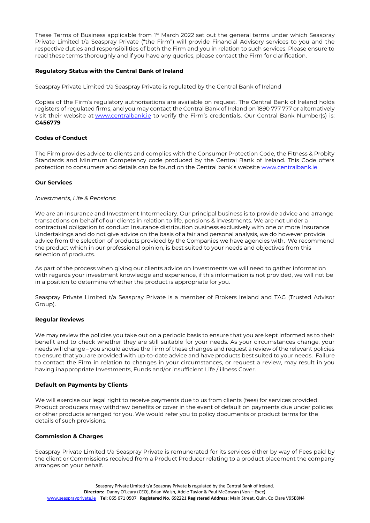These Terms of Business applicable from 1<sup>st</sup> March 2022 set out the general terms under which Seaspray Private Limited t/a Seaspray Private ("the Firm") will provide Financial Advisory services to you and the respective duties and responsibilities of both the Firm and you in relation to such services. Please ensure to read these terms thoroughly and if you have any queries, please contact the Firm for clarification.

# **Regulatory Status with the Central Bank of Ireland**

Seaspray Private Limited t/a Seaspray Private is regulated by the Central Bank of Ireland

Copies of the Firm's regulatory authorisations are available on request. The Central Bank of Ireland holds registers of regulated firms, and you may contact the Central Bank of Ireland on 1890 777 777 or alternatively visit their website at [www.centralbank.ie](http://www.centralbank.ie/) to verify the Firm's credentials. Our Central Bank Number(s) is: **C456779**

# **Codes of Conduct**

The Firm provides advice to clients and complies with the Consumer Protection Code, the Fitness & Probity Standards and Minimum Competency code produced by the Central Bank of Ireland. This Code offers protection to consumers and details can be found on the Central bank's website [www.centralbank.ie](http://www.centralbank.ie/)

## **Our Services**

#### *Investments, Life & Pensions:*

We are an Insurance and Investment Intermediary. Our principal business is to provide advice and arrange transactions on behalf of our clients in relation to life, pensions & investments. We are not under a contractual obligation to conduct Insurance distribution business exclusively with one or more Insurance Undertakings and do not give advice on the basis of a fair and personal analysis, we do however provide advice from the selection of products provided by the Companies we have agencies with. We recommend the product which in our professional opinion, is best suited to your needs and objectives from this selection of products.

As part of the process when giving our clients advice on Investments we will need to gather information with regards your investment knowledge and experience, if this information is not provided, we will not be in a position to determine whether the product is appropriate for you.

Seaspray Private Limited t/a Seaspray Private is a member of Brokers Ireland and TAG (Trusted Advisor Group).

## **Regular Reviews**

We may review the policies you take out on a periodic basis to ensure that you are kept informed as to their benefit and to check whether they are still suitable for your needs. As your circumstances change, your needs will change – you should advise the Firm of these changes and request a review of the relevant policies to ensure that you are provided with up-to-date advice and have products best suited to your needs. Failure to contact the Firm in relation to changes in your circumstances, or request a review, may result in you having inappropriate Investments, Funds and/or insufficient Life / illness Cover.

## **Default on Payments by Clients**

We will exercise our legal right to receive payments due to us from clients (fees) for services provided. Product producers may withdraw benefits or cover in the event of default on payments due under policies or other products arranged for you. We would refer you to policy documents or product terms for the details of such provisions.

## **Commission & Charges**

Seaspray Private Limited t/a Seaspray Private is remunerated for its services either by way of Fees paid by the client or Commissions received from a Product Producer relating to a product placement the company arranges on your behalf.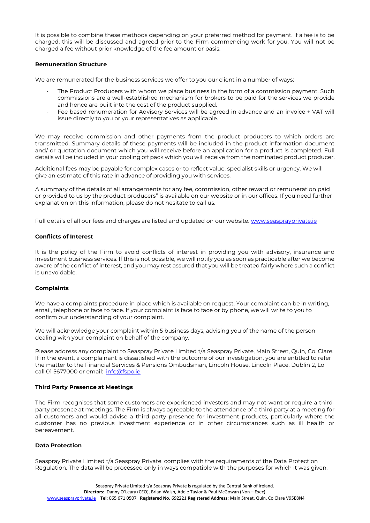It is possible to combine these methods depending on your preferred method for payment. If a fee is to be charged, this will be discussed and agreed prior to the Firm commencing work for you. You will not be charged a fee without prior knowledge of the fee amount or basis.

## **Remuneration Structure**

We are remunerated for the business services we offer to you our client in a number of ways:

- The Product Producers with whom we place business in the form of a commission payment. Such commissions are a well-established mechanism for brokers to be paid for the services we provide and hence are built into the cost of the product supplied.
- Fee based renumeration for Advisory Services will be agreed in advance and an invoice + VAT will issue directly to you or your representatives as applicable.

We may receive commission and other payments from the product producers to which orders are transmitted. Summary details of these payments will be included in the product information document and/ or quotation document which you will receive before an application for a product is completed. Full details will be included in your cooling off pack which you will receive from the nominated product producer.

Additional fees may be payable for complex cases or to reflect value, specialist skills or urgency. We will give an estimate of this rate in advance of providing you with services.

A summary of the details of all arrangements for any fee, commission, other reward or remuneration paid or provided to us by the product producers" is available on our website or in our offices. If you need further explanation on this information, please do not hesitate to call us.

Full details of all our fees and charges are listed and updated on our website. [www.seasprayprivate.ie](http://www.seasprayprivate.ie/)

# **Conflicts of Interest**

It is the policy of the Firm to avoid conflicts of interest in providing you with advisory, insurance and investment business services. If this is not possible, we will notify you as soon as practicable after we become aware of the conflict of interest, and you may rest assured that you will be treated fairly where such a conflict is unavoidable.

## **Complaints**

We have a complaints procedure in place which is available on request. Your complaint can be in writing, email, telephone or face to face. If your complaint is face to face or by phone, we will write to you to confirm our understanding of your complaint.

We will acknowledge your complaint within 5 business days, advising you of the name of the person dealing with your complaint on behalf of the company.

Please address any complaint to Seaspray Private Limited t/a Seaspray Private, Main Street, Quin, Co. Clare. If in the event, a complainant is dissatisfied with the outcome of our investigation, you are entitled to refer the matter to the Financial Services & Pensions Ombudsman, Lincoln House, Lincoln Place, Dublin 2, Lo call 01 5677000 or email: [info@fspo.ie](mailto:info@fspo.ie)

## **Third Party Presence at Meetings**

The Firm recognises that some customers are experienced investors and may not want or require a thirdparty presence at meetings. The Firm is always agreeable to the attendance of a third party at a meeting for all customers and would advise a third-party presence for investment products, particularly where the customer has no previous investment experience or in other circumstances such as ill health or bereavement.

#### **Data Protection**

Seaspray Private Limited t/a Seaspray Private. complies with the requirements of the Data Protection Regulation. The data will be processed only in ways compatible with the purposes for which it was given.